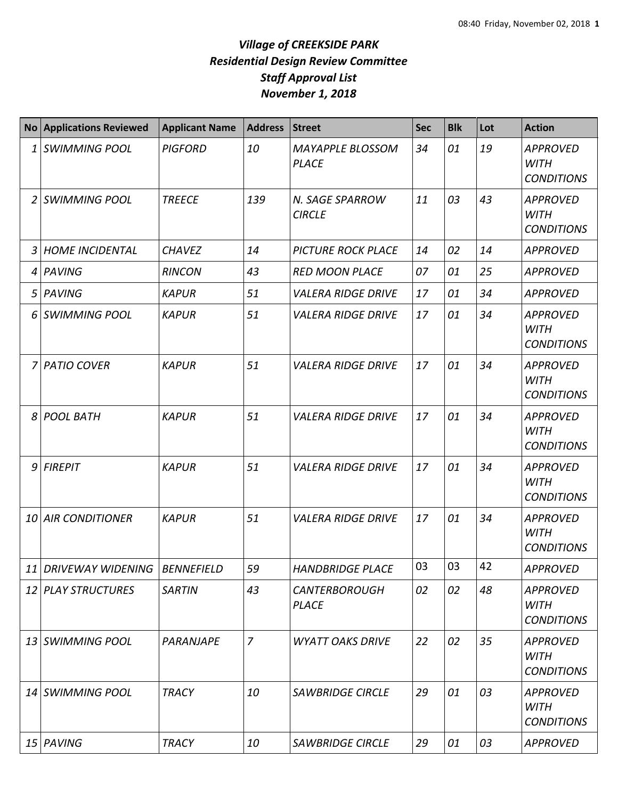## *Village of CREEKSIDE PARK Residential Design Review Committee Staff Approval List November 1, 2018*

|                | <b>No Applications Reviewed</b>   | <b>Applicant Name</b> | <b>Address</b> | <b>Street</b>                           | <b>Sec</b> | <b>Blk</b> | Lot | <b>Action</b>                                       |
|----------------|-----------------------------------|-----------------------|----------------|-----------------------------------------|------------|------------|-----|-----------------------------------------------------|
| 1              | <b>SWIMMING POOL</b>              | <b>PIGFORD</b>        | 10             | <b>MAYAPPLE BLOSSOM</b><br><b>PLACE</b> | 34         | 01         | 19  | <b>APPROVED</b><br><b>WITH</b><br><b>CONDITIONS</b> |
| $\overline{2}$ | SWIMMING POOL                     | <b>TREECE</b>         | 139            | N. SAGE SPARROW<br><b>CIRCLE</b>        | 11         | 03         | 43  | <b>APPROVED</b><br><b>WITH</b><br><b>CONDITIONS</b> |
| 3              | <b>HOME INCIDENTAL</b>            | <b>CHAVEZ</b>         | 14             | <b>PICTURE ROCK PLACE</b>               | 14         | 02         | 14  | <b>APPROVED</b>                                     |
| 4              | PAVING                            | <b>RINCON</b>         | 43             | <b>RED MOON PLACE</b>                   | 07         | 01         | 25  | <b>APPROVED</b>                                     |
| 5              | PAVING                            | <b>KAPUR</b>          | 51             | <b>VALERA RIDGE DRIVE</b>               | 17         | 01         | 34  | <b>APPROVED</b>                                     |
| 6              | <b>SWIMMING POOL</b>              | <b>KAPUR</b>          | 51             | <b>VALERA RIDGE DRIVE</b>               | 17         | 01         | 34  | <b>APPROVED</b><br><b>WITH</b><br><b>CONDITIONS</b> |
| 7              | <b>PATIO COVER</b>                | <b>KAPUR</b>          | 51             | <b>VALERA RIDGE DRIVE</b>               | 17         | 01         | 34  | <b>APPROVED</b><br><b>WITH</b><br><b>CONDITIONS</b> |
|                | 8 POOL BATH                       | <b>KAPUR</b>          | 51             | <b>VALERA RIDGE DRIVE</b>               | 17         | 01         | 34  | <b>APPROVED</b><br><b>WITH</b><br><b>CONDITIONS</b> |
| 9              | <b>FIREPIT</b>                    | <b>KAPUR</b>          | 51             | <b>VALERA RIDGE DRIVE</b>               | 17         | 01         | 34  | <b>APPROVED</b><br><b>WITH</b><br><b>CONDITIONS</b> |
|                | <b>10 AIR CONDITIONER</b>         | <b>KAPUR</b>          | 51             | <b>VALERA RIDGE DRIVE</b>               | 17         | 01         | 34  | <b>APPROVED</b><br><b>WITH</b><br><b>CONDITIONS</b> |
|                | 11 DRIVEWAY WIDENING   BENNEFIELD |                       | 59             | <b>HANDBRIDGE PLACE</b>                 | 03         | 03         | 42  | <b>APPROVED</b>                                     |
|                | 12 PLAY STRUCTURES                | <b>SARTIN</b>         | 43             | <b>CANTERBOROUGH</b><br><b>PLACE</b>    | 02         | 02         | 48  | <b>APPROVED</b><br><b>WITH</b><br><b>CONDITIONS</b> |
|                | 13 SWIMMING POOL                  | PARANJAPE             | $\overline{7}$ | <b>WYATT OAKS DRIVE</b>                 | 22         | 02         | 35  | <b>APPROVED</b><br>WITH<br><b>CONDITIONS</b>        |
|                | 14 SWIMMING POOL                  | <b>TRACY</b>          | 10             | <b>SAWBRIDGE CIRCLE</b>                 | 29         | 01         | 03  | <b>APPROVED</b><br><b>WITH</b><br><b>CONDITIONS</b> |
|                | 15 PAVING                         | <b>TRACY</b>          | 10             | <b>SAWBRIDGE CIRCLE</b>                 | 29         | 01         | 03  | APPROVED                                            |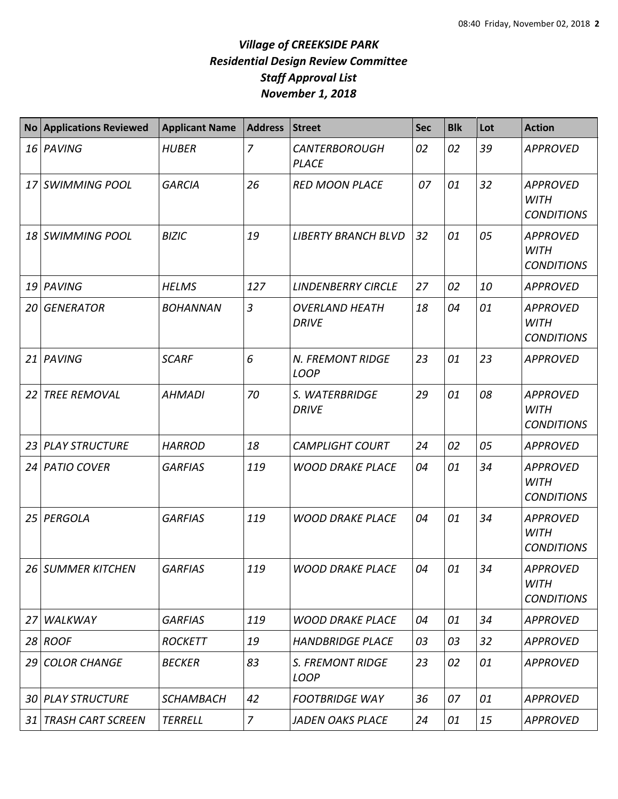## *Village of CREEKSIDE PARK Residential Design Review Committee Staff Approval List November 1, 2018*

| <b>No</b> | <b>Applications Reviewed</b> | <b>Applicant Name</b> | <b>Address</b> | <b>Street</b>                          | <b>Sec</b> | <b>Blk</b> | Lot | <b>Action</b>                                       |
|-----------|------------------------------|-----------------------|----------------|----------------------------------------|------------|------------|-----|-----------------------------------------------------|
|           | 16 PAVING                    | <b>HUBER</b>          | $\overline{7}$ | <b>CANTERBOROUGH</b><br><b>PLACE</b>   | 02         | 02         | 39  | <b>APPROVED</b>                                     |
|           | 17 SWIMMING POOL             | <b>GARCIA</b>         | 26             | <b>RED MOON PLACE</b>                  | 07         | 01         | 32  | <b>APPROVED</b><br><b>WITH</b><br><b>CONDITIONS</b> |
| 18        | <b>SWIMMING POOL</b>         | <b>BIZIC</b>          | 19             | <b>LIBERTY BRANCH BLVD</b>             | 32         | 01         | 05  | <b>APPROVED</b><br><b>WITH</b><br><b>CONDITIONS</b> |
| 19        | PAVING                       | <b>HELMS</b>          | 127            | <b>LINDENBERRY CIRCLE</b>              | 27         | 02         | 10  | <b>APPROVED</b>                                     |
| 20        | <b>GENERATOR</b>             | <b>BOHANNAN</b>       | $\overline{3}$ | <b>OVERLAND HEATH</b><br><b>DRIVE</b>  | 18         | 04         | 01  | <b>APPROVED</b><br><b>WITH</b><br><b>CONDITIONS</b> |
| 21        | PAVING                       | <b>SCARF</b>          | 6              | <b>N. FREMONT RIDGE</b><br><b>LOOP</b> | 23         | 01         | 23  | <b>APPROVED</b>                                     |
| 22        | <b>TREE REMOVAL</b>          | <b>AHMADI</b>         | 70             | S. WATERBRIDGE<br><b>DRIVE</b>         | 29         | 01         | 08  | <b>APPROVED</b><br><b>WITH</b><br><b>CONDITIONS</b> |
| 23        | <b>PLAY STRUCTURE</b>        | <b>HARROD</b>         | 18             | <b>CAMPLIGHT COURT</b>                 | 24         | 02         | 05  | <b>APPROVED</b>                                     |
| 24        | <b>PATIO COVER</b>           | <b>GARFIAS</b>        | 119            | <b>WOOD DRAKE PLACE</b>                | 04         | 01         | 34  | <b>APPROVED</b><br><b>WITH</b><br><b>CONDITIONS</b> |
| 25        | PERGOLA                      | <b>GARFIAS</b>        | 119            | <b>WOOD DRAKE PLACE</b>                | 04         | 01         | 34  | <b>APPROVED</b><br><b>WITH</b><br><b>CONDITIONS</b> |
|           | 26 SUMMER KITCHEN            | <b>GARFIAS</b>        | 119            | <b>WOOD DRAKE PLACE</b>                | 04         | 01         | 34  | <b>APPROVED</b><br><b>WITH</b><br><b>CONDITIONS</b> |
| 27        | <b>WALKWAY</b>               | <b>GARFIAS</b>        | 119            | <b>WOOD DRAKE PLACE</b>                | 04         | 01         | 34  | <b>APPROVED</b>                                     |
|           | $28$ ROOF                    | <b>ROCKETT</b>        | 19             | <b>HANDBRIDGE PLACE</b>                | 03         | 03         | 32  | <b>APPROVED</b>                                     |
| 29        | <b>COLOR CHANGE</b>          | <b>BECKER</b>         | 83             | S. FREMONT RIDGE<br><b>LOOP</b>        | 23         | 02         | 01  | <b>APPROVED</b>                                     |
| 30 I      | <b>PLAY STRUCTURE</b>        | <b>SCHAMBACH</b>      | 42             | <b>FOOTBRIDGE WAY</b>                  | 36         | 07         | 01  | <b>APPROVED</b>                                     |
| 31        | <b>TRASH CART SCREEN</b>     | <b>TERRELL</b>        | $\overline{7}$ | <b>JADEN OAKS PLACE</b>                | 24         | 01         | 15  | <b>APPROVED</b>                                     |